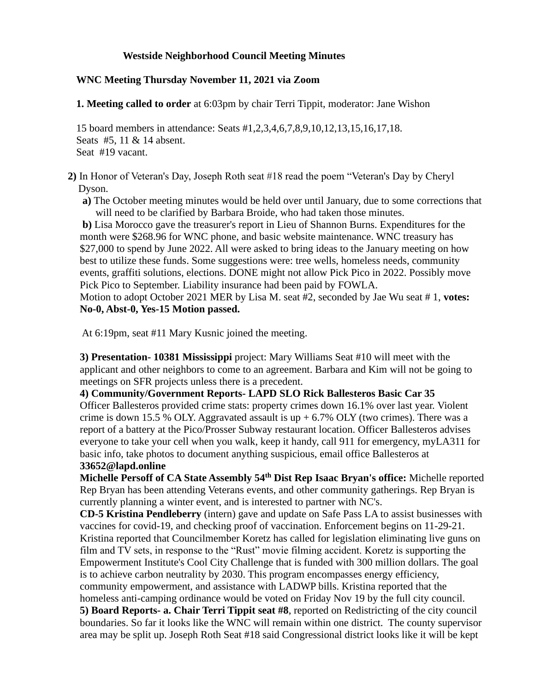# **Westside Neighborhood Council Meeting Minutes**

# **WNC Meeting Thursday November 11, 2021 via Zoom**

**1. Meeting called to order** at 6:03pm by chair Terri Tippit, moderator: Jane Wishon

15 board members in attendance: Seats #1,2,3,4,6,7,8,9,10,12,13,15,16,17,18. Seats #5, 11 & 14 absent. Seat #19 vacant.

 **2)** In Honor of Veteran's Day, Joseph Roth seat #18 read the poem "Veteran's Day by Cheryl Dyson.

**a)** The October meeting minutes would be held over until January, due to some corrections that will need to be clarified by Barbara Broide, who had taken those minutes.

**b)** Lisa Morocco gave the treasurer's report in Lieu of Shannon Burns. Expenditures for the month were \$268.96 for WNC phone, and basic website maintenance. WNC treasury has \$27,000 to spend by June 2022. All were asked to bring ideas to the January meeting on how best to utilize these funds. Some suggestions were: tree wells, homeless needs, community events, graffiti solutions, elections. DONE might not allow Pick Pico in 2022. Possibly move Pick Pico to September. Liability insurance had been paid by FOWLA. Motion to adopt October 2021 MER by Lisa M. seat #2, seconded by Jae Wu seat # 1, **votes: No-0, Abst-0, Yes-15 Motion passed.**

At 6:19pm, seat #11 Mary Kusnic joined the meeting.

**3) Presentation- 10381 Mississippi** project: Mary Williams Seat #10 will meet with the applicant and other neighbors to come to an agreement. Barbara and Kim will not be going to meetings on SFR projects unless there is a precedent.

**4) Community/Government Reports- LAPD SLO Rick Ballesteros Basic Car 35** Officer Ballesteros provided crime stats: property crimes down 16.1% over last year. Violent crime is down 15.5 % OLY. Aggravated assault is  $up + 6.7\%$  OLY (two crimes). There was a report of a battery at the Pico/Prosser Subway restaurant location. Officer Ballesteros advises everyone to take your cell when you walk, keep it handy, call 911 for emergency, myLA311 for basic info, take photos to document anything suspicious, email office Ballesteros at **33652@lapd.online**

**Michelle Persoff of CA State Assembly 54th Dist Rep Isaac Bryan's office:** Michelle reported Rep Bryan has been attending Veterans events, and other community gatherings. Rep Bryan is currently planning a winter event, and is interested to partner with NC's.

**CD-5 Kristina Pendleberry** (intern) gave and update on Safe Pass LA to assist businesses with vaccines for covid-19, and checking proof of vaccination. Enforcement begins on 11-29-21. Kristina reported that Councilmember Koretz has called for legislation eliminating live guns on film and TV sets, in response to the "Rust" movie filming accident. Koretz is supporting the Empowerment Institute's Cool City Challenge that is funded with 300 million dollars. The goal is to achieve carbon neutrality by 2030. This program encompasses energy efficiency, community empowerment, and assistance with LADWP bills. Kristina reported that the homeless anti-camping ordinance would be voted on Friday Nov 19 by the full city council. **5) Board Reports- a. Chair Terri Tippit seat #8**, reported on Redistricting of the city council boundaries. So far it looks like the WNC will remain within one district. The county supervisor area may be split up. Joseph Roth Seat #18 said Congressional district looks like it will be kept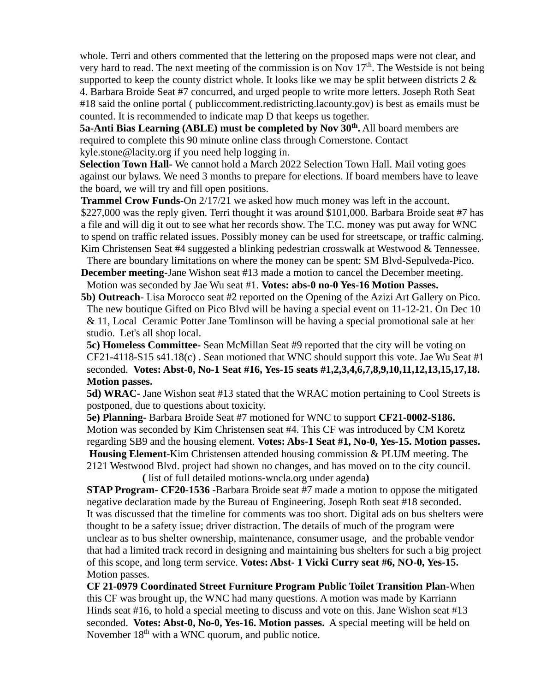whole. Terri and others commented that the lettering on the proposed maps were not clear, and very hard to read. The next meeting of the commission is on Nov  $17<sup>th</sup>$ . The Westside is not being supported to keep the county district whole. It looks like we may be split between districts  $2 \&$ 4. Barbara Broide Seat #7 concurred, and urged people to write more letters. Joseph Roth Seat #18 said the online portal ( publiccomment.redistricting.lacounty.gov) is best as emails must be counted. It is recommended to indicate map D that keeps us together.

**5a-Anti Bias Learning (ABLE) must be completed by Nov 30th .** All board members are required to complete this 90 minute online class through Cornerstone. Contact [kyle.stone@lacity.org](mailto:kyle.stone@lacity.org) if you need help logging in.

**Selection Town Hall-** We cannot hold a March 2022 Selection Town Hall. Mail voting goes against our bylaws. We need 3 months to prepare for elections. If board members have to leave the board, we will try and fill open positions.

**Trammel Crow Funds**-On  $2/17/21$  we asked how much money was left in the account. \$227,000 was the reply given. Terri thought it was around \$101,000. Barbara Broide seat #7 has a file and will dig it out to see what her records show. The T.C. money was put away for WNC to spend on traffic related issues. Possibly money can be used for streetscape, or traffic calming. Kim Christensen Seat #4 suggested a blinking pedestrian crosswalk at Westwood & Tennessee.

There are boundary limitations on where the money can be spent: SM Blvd-Sepulveda-Pico. **December meeting-**Jane Wishon seat #13 made a motion to cancel the December meeting.

Motion was seconded by Jae Wu seat #1. **Votes: abs-0 no-0 Yes-16 Motion Passes. 5b) Outreach**- Lisa Morocco seat #2 reported on the Opening of the Azizi Art Gallery on Pico.

The new boutique Gifted on Pico Blvd will be having a special event on 11-12-21. On Dec 10 & 11, Local Ceramic Potter Jane Tomlinson will be having a special promotional sale at her studio. Let's all shop local.

**5c) Homeless Committee-** Sean McMillan Seat #9 reported that the city will be voting on CF21-4118-S15 s41.18(c) . Sean motioned that WNC should support this vote. Jae Wu Seat #1 seconded. **Votes: Abst-0, No-1 Seat #16, Yes-15 seats #1,2,3,4,6,7,8,9,10,11,12,13,15,17,18. Motion passes.**

**5d) WRAC-** Jane Wishon seat #13 stated that the WRAC motion pertaining to Cool Streets is postponed, due to questions about toxicity.

**5e) Planning-** Barbara Broide Seat #7 motioned for WNC to support **CF21-0002-S186.** Motion was seconded by Kim Christensen seat #4. This CF was introduced by CM Koretz regarding SB9 and the housing element. **Votes: Abs-1 Seat #1, No-0, Yes-15. Motion passes.**

**Housing Element**-Kim Christensen attended housing commission & PLUM meeting. The 2121 Westwood Blvd. project had shown no changes, and has moved on to the city council. **(** list of full detailed motions-wncla.org under agenda**)**

**STAP Program- CF20-1536** -Barbara Broide seat #7 made a motion to oppose the mitigated negative declaration made by the Bureau of Engineering. Joseph Roth seat #18 seconded. It was discussed that the timeline for comments was too short. Digital ads on bus shelters were thought to be a safety issue; driver distraction. The details of much of the program were unclear as to bus shelter ownership, maintenance, consumer usage, and the probable vendor that had a limited track record in designing and maintaining bus shelters for such a big project of this scope, and long term service. **Votes: Abst- 1 Vicki Curry seat #6, NO-0, Yes-15.**  Motion passes.

**CF 21-0979 Coordinated Street Furniture Program Public Toilet Transition Plan-**When this CF was brought up, the WNC had many questions. A motion was made by Karriann Hinds seat #16, to hold a special meeting to discuss and vote on this. Jane Wishon seat #13 seconded. **Votes: Abst-0, No-0, Yes-16. Motion passes.** A special meeting will be held on November  $18<sup>th</sup>$  with a WNC quorum, and public notice.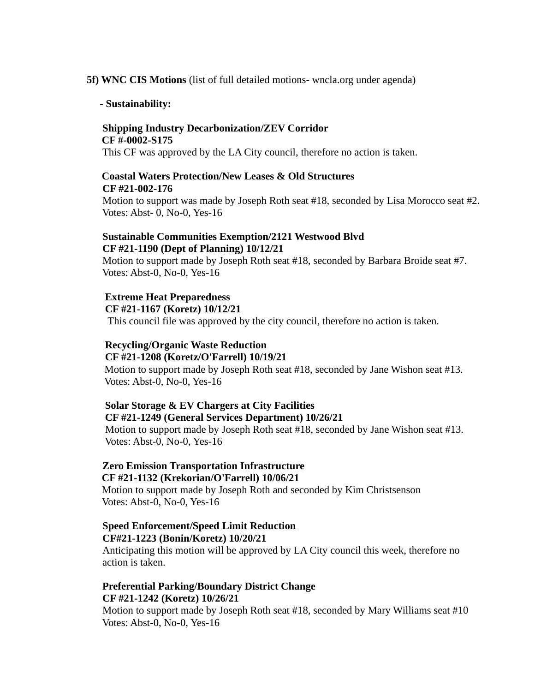#### **5f) WNC CIS Motions** (list of full detailed motions- wncla.org under agenda)

#### **- Sustainability:**

#### **Shipping Industry Decarbonization/ZEV Corridor CF #-0002-S175**

This CF was approved by the LA City council, therefore no action is taken.

# **Coastal Waters Protection/New Leases & Old Structures CF #21-002-176**

Motion to support was made by Joseph Roth seat #18, seconded by Lisa Morocco seat #2. Votes: Abst- 0, No-0, Yes-16

## **Sustainable Communities Exemption/2121 Westwood Blvd CF #21-1190 (Dept of Planning) 10/12/21**

Motion to support made by Joseph Roth seat #18, seconded by Barbara Broide seat #7. Votes: Abst-0, No-0, Yes-16

### **Extreme Heat Preparedness**

 **CF #21-1167 (Koretz) 10/12/21**

This council file was approved by the city council, therefore no action is taken.

### **Recycling/Organic Waste Reduction CF #21-1208 (Koretz/O'Farrell) 10/19/21**

Motion to support made by Joseph Roth seat #18, seconded by Jane Wishon seat #13. Votes: Abst-0, No-0, Yes-16

# **Solar Storage & EV Chargers at City Facilities CF #21-1249 (General Services Department) 10/26/21**

Motion to support made by Joseph Roth seat #18, seconded by Jane Wishon seat #13. Votes: Abst-0, No-0, Yes-16

# **Zero Emission Transportation Infrastructure CF #21-1132 (Krekorian/O'Farrell) 10/06/21**

Motion to support made by Joseph Roth and seconded by Kim Christsenson Votes: Abst-0, No-0, Yes-16

# **Speed Enforcement/Speed Limit Reduction CF#21-1223 (Bonin/Koretz) 10/20/21**

Anticipating this motion will be approved by LA City council this week, therefore no action is taken.

# **Preferential Parking/Boundary District Change CF #21-1242 (Koretz) 10/26/21**

Motion to support made by Joseph Roth seat #18, seconded by Mary Williams seat #10 Votes: Abst-0, No-0, Yes-16